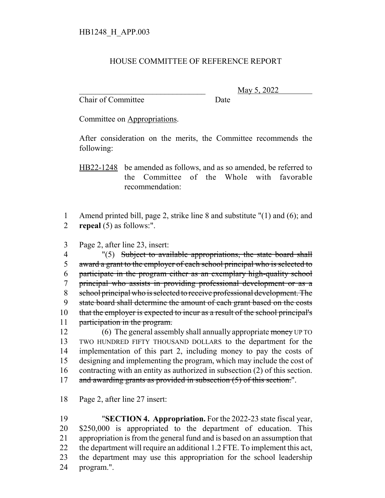## HOUSE COMMITTEE OF REFERENCE REPORT

Chair of Committee Date

\_\_\_\_\_\_\_\_\_\_\_\_\_\_\_\_\_\_\_\_\_\_\_\_\_\_\_\_\_\_\_ May 5, 2022

Committee on Appropriations.

After consideration on the merits, the Committee recommends the following:

HB22-1248 be amended as follows, and as so amended, be referred to the Committee of the Whole with favorable recommendation:

1 Amend printed bill, page 2, strike line 8 and substitute "(1) and (6); and 2 **repeal** (5) as follows:".

3 Page 2, after line 23, insert:

4 "(5) Subject to available appropriations, the state board shall award a grant to the employer of each school principal who is selected to participate in the program either as an exemplary high-quality school principal who assists in providing professional development or as a school principal who is selected to receive professional development. The state board shall determine the amount of each grant based on the costs 10 that the employer is expected to incur as a result of the school principal's 11 participation in the program.

12 (6) The general assembly shall annually appropriate money UP TO TWO HUNDRED FIFTY THOUSAND DOLLARS to the department for the implementation of this part 2, including money to pay the costs of designing and implementing the program, which may include the cost of contracting with an entity as authorized in subsection (2) of this section. 17 and awarding grants as provided in subsection (5) of this section.".

18 Page 2, after line 27 insert:

 "**SECTION 4. Appropriation.** For the 2022-23 state fiscal year, \$250,000 is appropriated to the department of education. This appropriation is from the general fund and is based on an assumption that 22 the department will require an additional 1.2 FTE. To implement this act, the department may use this appropriation for the school leadership program.".